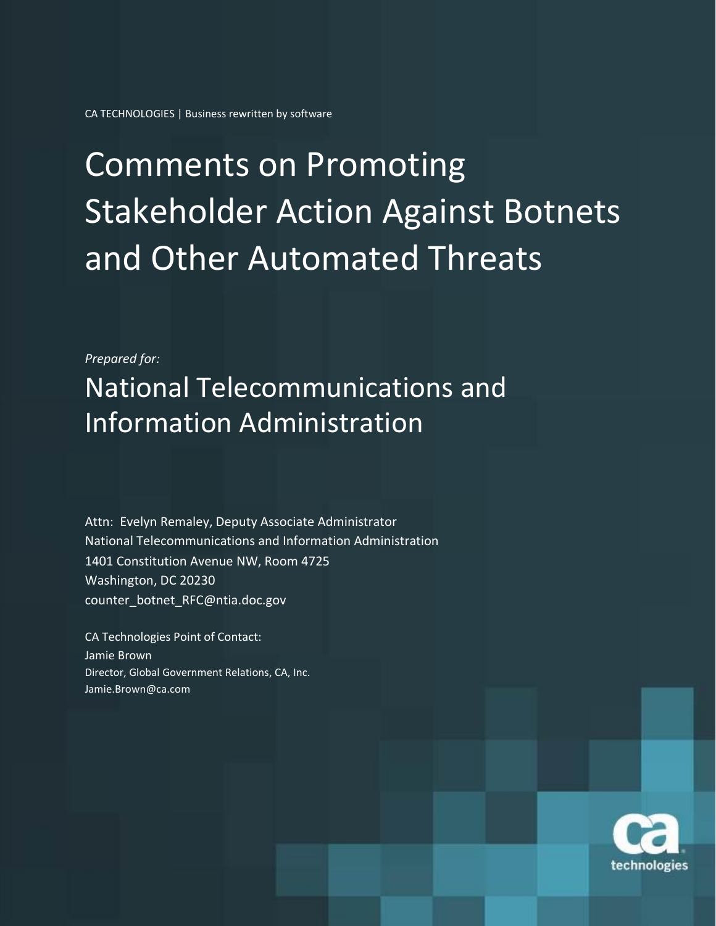CA TECHNOLOGIES | Business rewritten by software

# Comments on Promoting Stakeholder Action Against Botnets and Other Automated Threats

*Prepared for:*

National Telecommunications and Information Administration

Attn: Evelyn Remaley, Deputy Associate Administrator National Telecommunications and Information Administration 1401 Constitution Avenue NW, Room 4725 Washington, DC 20230 counter\_botnet\_RFC@ntia.doc.gov

CA Technologies Point of Contact: Jamie Brown Director, Global Government Relations, CA, Inc. Jamie.Brown@ca.com

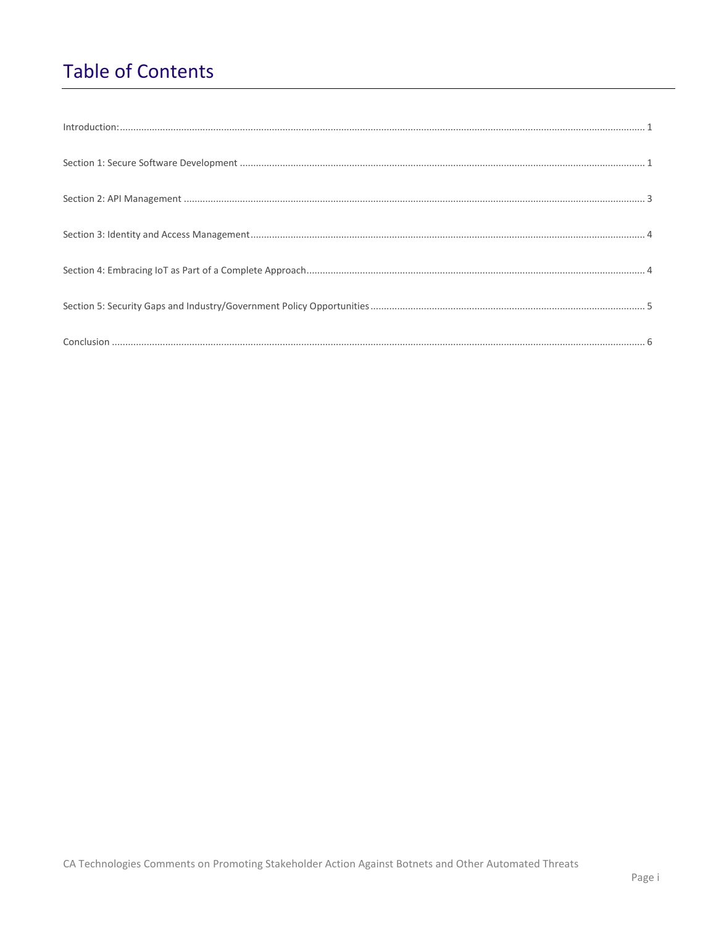## **Table of Contents**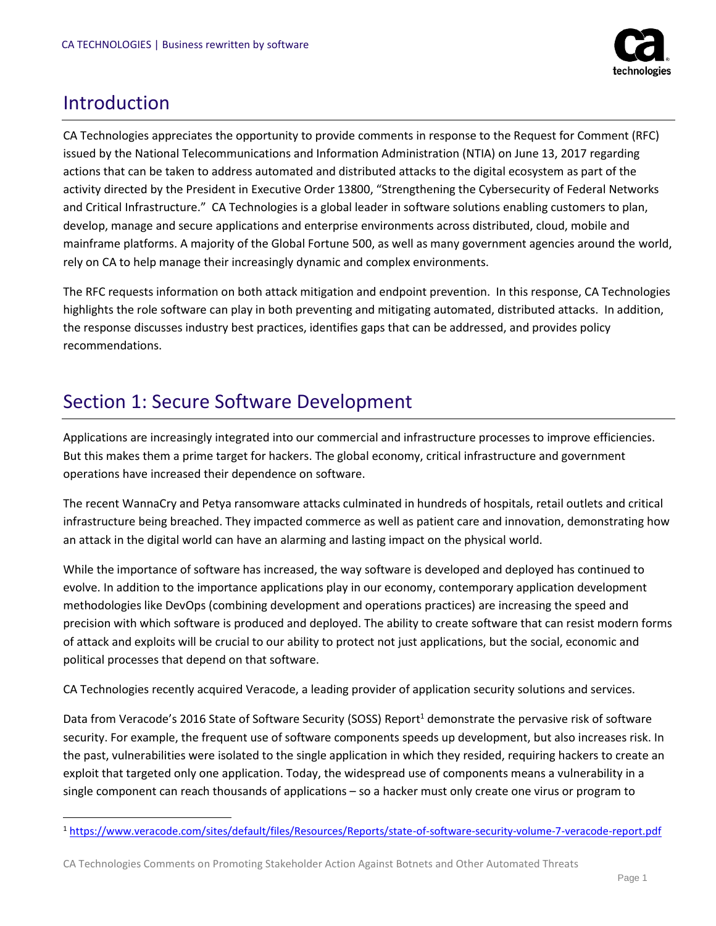

#### <span id="page-2-0"></span>Introduction

 $\overline{\phantom{a}}$ 

CA Technologies appreciates the opportunity to provide comments in response to the Request for Comment (RFC) issued by the National Telecommunications and Information Administration (NTIA) on June 13, 2017 regarding actions that can be taken to address automated and distributed attacks to the digital ecosystem as part of the activity directed by the President in Executive Order 13800, "Strengthening the Cybersecurity of Federal Networks and Critical Infrastructure." CA Technologies is a global leader in software solutions enabling customers to plan, develop, manage and secure applications and enterprise environments across distributed, cloud, mobile and mainframe platforms. A majority of the Global Fortune 500, as well as many government agencies around the world, rely on CA to help manage their increasingly dynamic and complex environments.

The RFC requests information on both attack mitigation and endpoint prevention. In this response, CA Technologies highlights the role software can play in both preventing and mitigating automated, distributed attacks. In addition, the response discusses industry best practices, identifies gaps that can be addressed, and provides policy recommendations.

#### <span id="page-2-1"></span>Section 1: Secure Software Development

Applications are increasingly integrated into our commercial and infrastructure processes to improve efficiencies. But this makes them a prime target for hackers. The global economy, critical infrastructure and government operations have increased their dependence on software.

The recent WannaCry and Petya ransomware attacks culminated in hundreds of hospitals, retail outlets and critical infrastructure being breached. They impacted commerce as well as patient care and innovation, demonstrating how an attack in the digital world can have an alarming and lasting impact on the physical world.

While the importance of software has increased, the way software is developed and deployed has continued to evolve. In addition to the importance applications play in our economy, contemporary application development methodologies like DevOps (combining development and operations practices) are increasing the speed and precision with which software is produced and deployed. The ability to create software that can resist modern forms of attack and exploits will be crucial to our ability to protect not just applications, but the social, economic and political processes that depend on that software.

CA Technologies recently acquired Veracode, a leading provider of application security solutions and services.

Data from Veracode's 2016 State of Software Security (SOSS) Report<sup>1</sup> demonstrate the pervasive risk of software security. For example, the frequent use of software components speeds up development, but also increases risk. In the past, vulnerabilities were isolated to the single application in which they resided, requiring hackers to create an exploit that targeted only one application. Today, the widespread use of components means a vulnerability in a single component can reach thousands of applications – so a hacker must only create one virus or program to

<sup>1</sup> <https://www.veracode.com/sites/default/files/Resources/Reports/state-of-software-security-volume-7-veracode-report.pdf>

CA Technologies Comments on Promoting Stakeholder Action Against Botnets and Other Automated Threats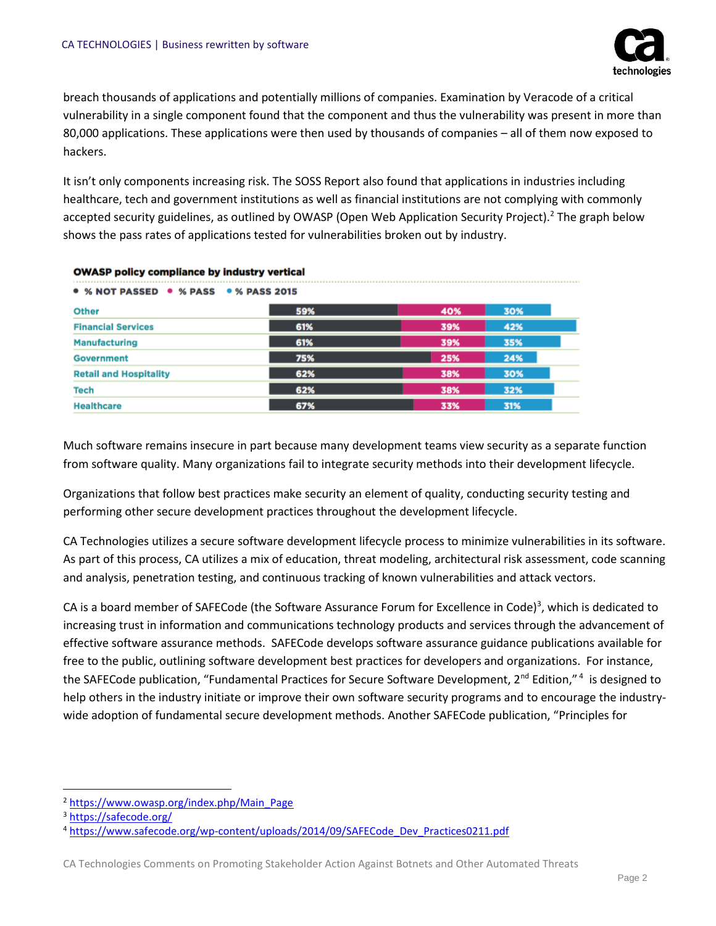

breach thousands of applications and potentially millions of companies. Examination by Veracode of a critical vulnerability in a single component found that the component and thus the vulnerability was present in more than 80,000 applications. These applications were then used by thousands of companies – all of them now exposed to hackers.

It isn't only components increasing risk. The SOSS Report also found that applications in industries including healthcare, tech and government institutions as well as financial institutions are not complying with commonly accepted security guidelines, as outlined by OWASP (Open Web Application Security Project).<sup>2</sup> The graph below shows the pass rates of applications tested for vulnerabilities broken out by industry.

| $\bullet$ % NOT PASSED $\bullet$ % PASS $\bullet$ % PASS 2015 |     |     |     |  |
|---------------------------------------------------------------|-----|-----|-----|--|
| <b>Other</b>                                                  | 59% | 40% | 30% |  |
| <b>Financial Services</b>                                     | 61% | 39% | 42% |  |
| <b>Manufacturing</b>                                          | 61% | 39% | 35% |  |
| <b>Government</b>                                             | 75% | 25% | 24% |  |
| <b>Retail and Hospitality</b>                                 | 62% | 38% | 30% |  |
| <b>Tech</b>                                                   | 62% | 38% | 32% |  |
| <b>Healthcare</b>                                             | 67% | 33% | 31% |  |

#### **OWASP policy compliance by industry vertical**

Much software remains insecure in part because many development teams view security as a separate function from software quality. Many organizations fail to integrate security methods into their development lifecycle.

Organizations that follow best practices make security an element of quality, conducting security testing and performing other secure development practices throughout the development lifecycle.

CA Technologies utilizes a secure software development lifecycle process to minimize vulnerabilities in its software. As part of this process, CA utilizes a mix of education, threat modeling, architectural risk assessment, code scanning and analysis, penetration testing, and continuous tracking of known vulnerabilities and attack vectors.

CA is a board member of SAFECode (the Software Assurance Forum for Excellence in Code)<sup>3</sup>, which is dedicated to increasing trust in information and communications technology products and services through the advancement of effective software assurance methods. SAFECode develops software assurance guidance publications available for free to the public, outlining software development best practices for developers and organizations. For instance, the SAFECode publication, "Fundamental Practices for Secure Software Development, 2<sup>nd</sup> Edition,"<sup>4</sup> is designed to help others in the industry initiate or improve their own software security programs and to encourage the industrywide adoption of fundamental secure development methods. Another SAFECode publication, "Principles for

 $\overline{\phantom{a}}$ 

<sup>2</sup> [https://www.owasp.org/index.php/Main\\_Page](https://www.owasp.org/index.php/Main_Page)

<sup>3</sup> <https://safecode.org/>

<sup>4</sup> [https://www.safecode.org/wp-content/uploads/2014/09/SAFECode\\_Dev\\_Practices0211.pdf](https://www.safecode.org/wp-content/uploads/2014/09/SAFECode_Dev_Practices0211.pdf)

CA Technologies Comments on Promoting Stakeholder Action Against Botnets and Other Automated Threats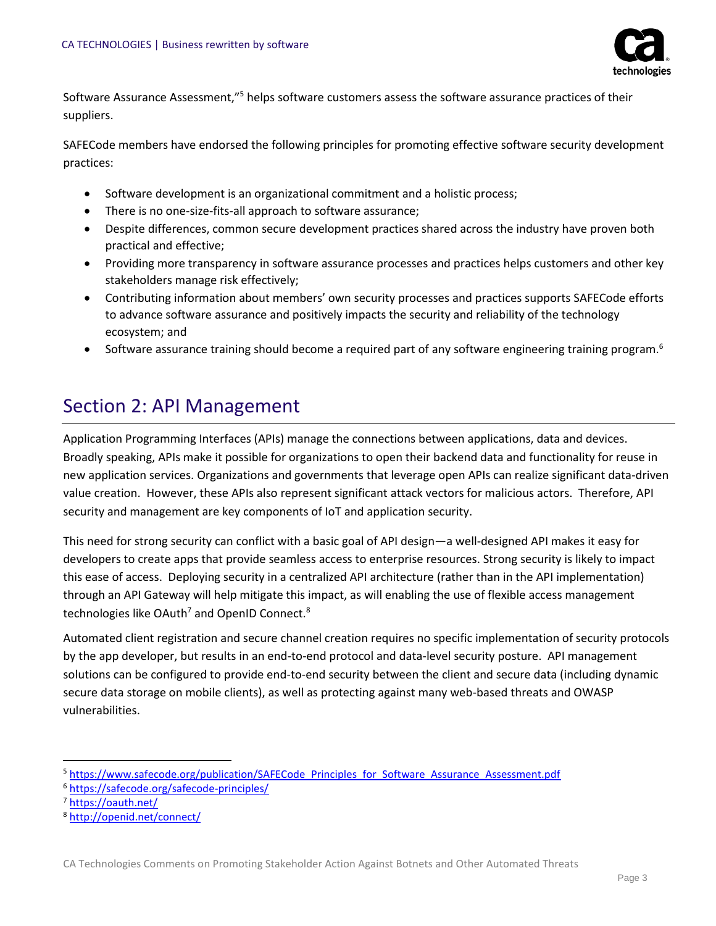

Software Assurance Assessment,"<sup>5</sup> helps software customers assess the software assurance practices of their suppliers.

SAFECode members have endorsed the following principles for promoting effective software security development practices:

- Software development is an organizational commitment and a holistic process;
- There is no one-size-fits-all approach to software assurance;
- Despite differences, common secure development practices shared across the industry have proven both practical and effective;
- Providing more transparency in software assurance processes and practices helps customers and other key stakeholders manage risk effectively;
- Contributing information about members' own security processes and practices supports SAFECode efforts to advance software assurance and positively impacts the security and reliability of the technology ecosystem; and
- Software assurance training should become a required part of any software engineering training program.<sup>6</sup>

#### <span id="page-4-0"></span>Section 2: API Management

Application Programming Interfaces (APIs) manage the connections between applications, data and devices. Broadly speaking, APIs make it possible for organizations to open their backend data and functionality for reuse in new application services. Organizations and governments that leverage open APIs can realize significant data-driven value creation. However, these APIs also represent significant attack vectors for malicious actors. Therefore, API security and management are key components of IoT and application security.

This need for strong security can conflict with a basic goal of API design—a well-designed API makes it easy for developers to create apps that provide seamless access to enterprise resources. Strong security is likely to impact this ease of access. Deploying security in a centralized API architecture (rather than in the API implementation) through an API Gateway will help mitigate this impact, as will enabling the use of flexible access management technologies like OAuth<sup>7</sup> and OpenID Connect.<sup>8</sup>

Automated client registration and secure channel creation requires no specific implementation of security protocols by the app developer, but results in an end-to-end protocol and data-level security posture. API management solutions can be configured to provide end-to-end security between the client and secure data (including dynamic secure data storage on mobile clients), as well as protecting against many web-based threats and OWASP vulnerabilities.

l <sup>5</sup> [https://www.safecode.org/publication/SAFECode\\_Principles\\_for\\_Software\\_Assurance\\_Assessment.pdf](https://www.safecode.org/publication/SAFECode_Principles_for_Software_Assurance_Assessment.pdf)

<sup>6</sup> <https://safecode.org/safecode-principles/>

<sup>7</sup> <https://oauth.net/>

<sup>8</sup> <http://openid.net/connect/>

CA Technologies Comments on Promoting Stakeholder Action Against Botnets and Other Automated Threats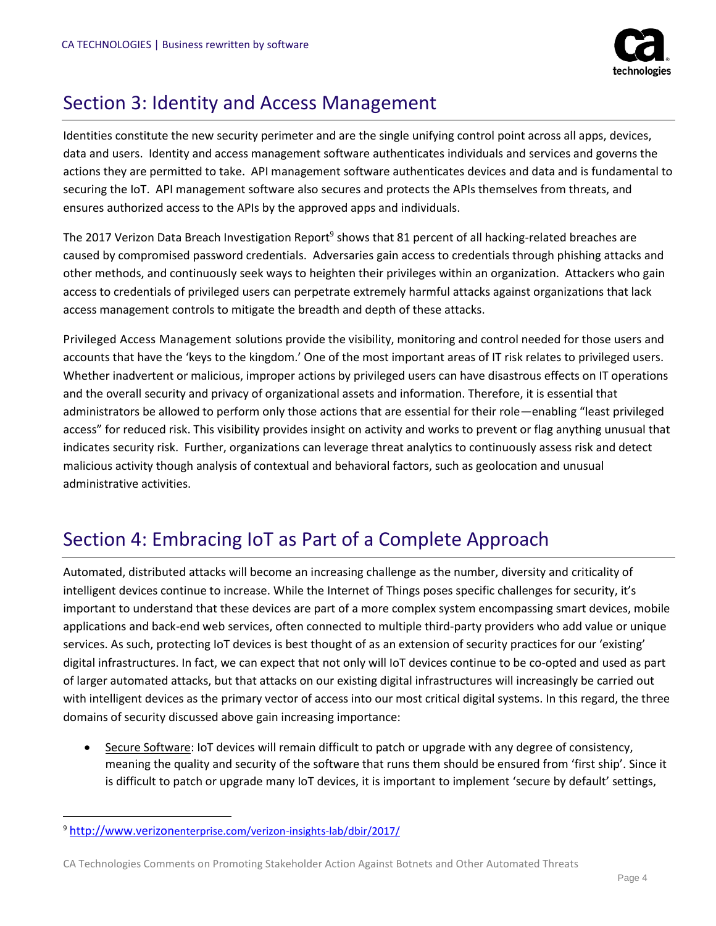

### Section 3: Identity and Access Management

Identities constitute the new security perimeter and are the single unifying control point across all apps, devices, data and users. Identity and access management software authenticates individuals and services and governs the actions they are permitted to take. API management software authenticates devices and data and is fundamental to securing the IoT. API management software also secures and protects the APIs themselves from threats, and ensures authorized access to the APIs by the approved apps and individuals.

The 2017 Verizon Data Breach Investigation Report<sup>9</sup> shows that 81 percent of all hacking-related breaches are caused by compromised password credentials. Adversaries gain access to credentials through phishing attacks and other methods, and continuously seek ways to heighten their privileges within an organization. Attackers who gain access to credentials of privileged users can perpetrate extremely harmful attacks against organizations that lack access management controls to mitigate the breadth and depth of these attacks.

Privileged Access Management solutions provide the visibility, monitoring and control needed for those users and accounts that have the 'keys to the kingdom.' One of the most important areas of IT risk relates to privileged users. Whether inadvertent or malicious, improper actions by privileged users can have disastrous effects on IT operations and the overall security and privacy of organizational assets and information. Therefore, it is essential that administrators be allowed to perform only those actions that are essential for their role—enabling "least privileged access" for reduced risk. This visibility provides insight on activity and works to prevent or flag anything unusual that indicates security risk. Further, organizations can leverage threat analytics to continuously assess risk and detect malicious activity though analysis of contextual and behavioral factors, such as geolocation and unusual administrative activities.

### Section 4: Embracing IoT as Part of a Complete Approach

Automated, distributed attacks will become an increasing challenge as the number, diversity and criticality of intelligent devices continue to increase. While the Internet of Things poses specific challenges for security, it's important to understand that these devices are part of a more complex system encompassing smart devices, mobile applications and back-end web services, often connected to multiple third-party providers who add value or unique services. As such, protecting IoT devices is best thought of as an extension of security practices for our 'existing' digital infrastructures. In fact, we can expect that not only will IoT devices continue to be co-opted and used as part of larger automated attacks, but that attacks on our existing digital infrastructures will increasingly be carried out with intelligent devices as the primary vector of access into our most critical digital systems. In this regard, the three domains of security discussed above gain increasing importance:

• Secure Software: IoT devices will remain difficult to patch or upgrade with any degree of consistency, meaning the quality and security of the software that runs them should be ensured from 'first ship'. Since it is difficult to patch or upgrade many IoT devices, it is important to implement 'secure by default' settings,

 $\overline{\phantom{a}}$ 

<sup>9</sup> http://www.verizon[enterprise.com/verizon-insights-lab/dbir/2017/](http://www.verizonenterprise.com/verizon-insights-lab/dbir/2017/)

CA Technologies Comments on Promoting Stakeholder Action Against Botnets and Other Automated Threats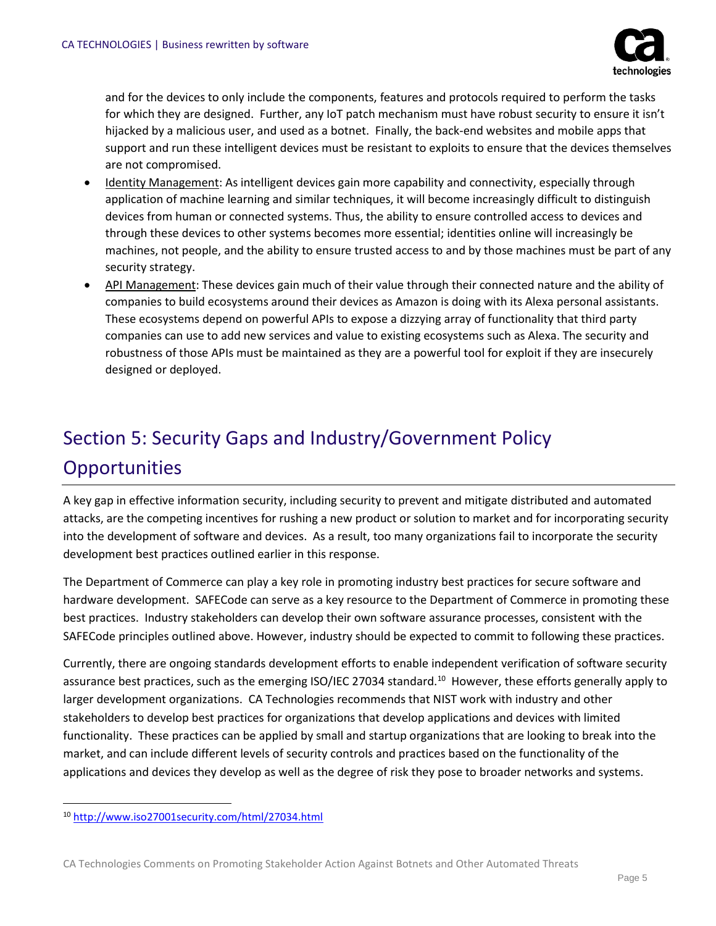

and for the devices to only include the components, features and protocols required to perform the tasks for which they are designed. Further, any IoT patch mechanism must have robust security to ensure it isn't hijacked by a malicious user, and used as a botnet. Finally, the back-end websites and mobile apps that support and run these intelligent devices must be resistant to exploits to ensure that the devices themselves are not compromised.

- Identity Management: As intelligent devices gain more capability and connectivity, especially through application of machine learning and similar techniques, it will become increasingly difficult to distinguish devices from human or connected systems. Thus, the ability to ensure controlled access to devices and through these devices to other systems becomes more essential; identities online will increasingly be machines, not people, and the ability to ensure trusted access to and by those machines must be part of any security strategy.
- API Management: These devices gain much of their value through their connected nature and the ability of companies to build ecosystems around their devices as Amazon is doing with its Alexa personal assistants. These ecosystems depend on powerful APIs to expose a dizzying array of functionality that third party companies can use to add new services and value to existing ecosystems such as Alexa. The security and robustness of those APIs must be maintained as they are a powerful tool for exploit if they are insecurely designed or deployed.

# Section 5: Security Gaps and Industry/Government Policy **Opportunities**

A key gap in effective information security, including security to prevent and mitigate distributed and automated attacks, are the competing incentives for rushing a new product or solution to market and for incorporating security into the development of software and devices. As a result, too many organizations fail to incorporate the security development best practices outlined earlier in this response.

The Department of Commerce can play a key role in promoting industry best practices for secure software and hardware development. SAFECode can serve as a key resource to the Department of Commerce in promoting these best practices. Industry stakeholders can develop their own software assurance processes, consistent with the SAFECode principles outlined above. However, industry should be expected to commit to following these practices.

Currently, there are ongoing standards development efforts to enable independent verification of software security assurance best practices, such as the emerging ISO/IEC 27034 standard.<sup>10</sup> However, these efforts generally apply to larger development organizations. CA Technologies recommends that NIST work with industry and other stakeholders to develop best practices for organizations that develop applications and devices with limited functionality. These practices can be applied by small and startup organizations that are looking to break into the market, and can include different levels of security controls and practices based on the functionality of the applications and devices they develop as well as the degree of risk they pose to broader networks and systems.

l

<sup>10</sup> <http://www.iso27001security.com/html/27034.html>

CA Technologies Comments on Promoting Stakeholder Action Against Botnets and Other Automated Threats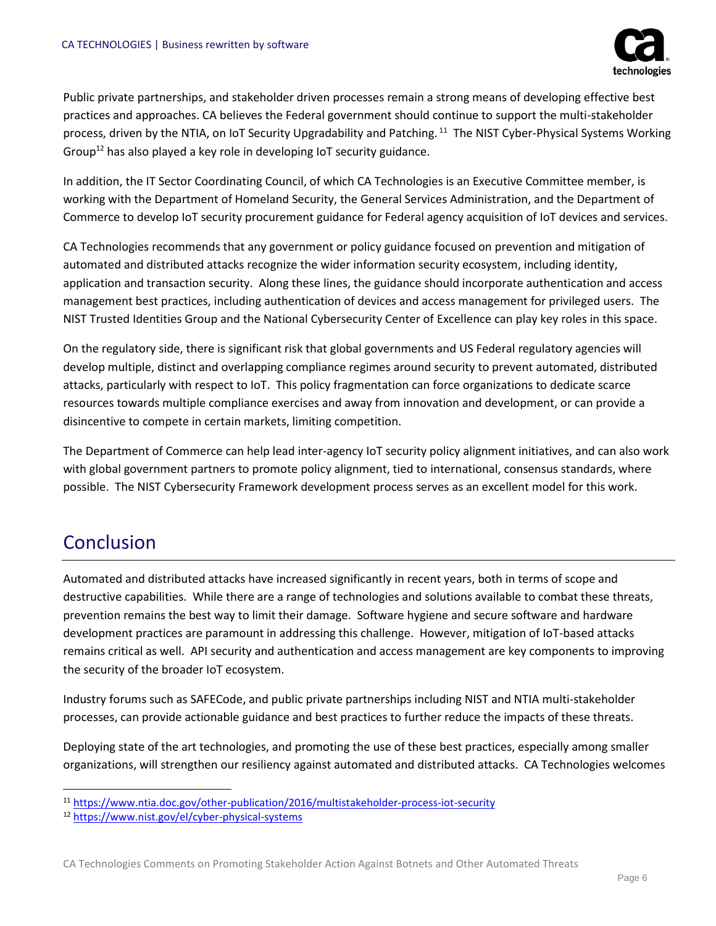

Public private partnerships, and stakeholder driven processes remain a strong means of developing effective best practices and approaches. CA believes the Federal government should continue to support the multi-stakeholder process, driven by the NTIA, on IoT Security Upgradability and Patching. <sup>11</sup> The NIST Cyber-Physical Systems Working Group<sup>12</sup> has also played a key role in developing IoT security guidance.

In addition, the IT Sector Coordinating Council, of which CA Technologies is an Executive Committee member, is working with the Department of Homeland Security, the General Services Administration, and the Department of Commerce to develop IoT security procurement guidance for Federal agency acquisition of IoT devices and services.

CA Technologies recommends that any government or policy guidance focused on prevention and mitigation of automated and distributed attacks recognize the wider information security ecosystem, including identity, application and transaction security. Along these lines, the guidance should incorporate authentication and access management best practices, including authentication of devices and access management for privileged users. The NIST Trusted Identities Group and the National Cybersecurity Center of Excellence can play key roles in this space.

On the regulatory side, there is significant risk that global governments and US Federal regulatory agencies will develop multiple, distinct and overlapping compliance regimes around security to prevent automated, distributed attacks, particularly with respect to IoT. This policy fragmentation can force organizations to dedicate scarce resources towards multiple compliance exercises and away from innovation and development, or can provide a disincentive to compete in certain markets, limiting competition.

The Department of Commerce can help lead inter-agency IoT security policy alignment initiatives, and can also work with global government partners to promote policy alignment, tied to international, consensus standards, where possible. The NIST Cybersecurity Framework development process serves as an excellent model for this work.

#### Conclusion

 $\overline{\phantom{a}}$ 

Automated and distributed attacks have increased significantly in recent years, both in terms of scope and destructive capabilities. While there are a range of technologies and solutions available to combat these threats, prevention remains the best way to limit their damage. Software hygiene and secure software and hardware development practices are paramount in addressing this challenge. However, mitigation of IoT-based attacks remains critical as well. API security and authentication and access management are key components to improving the security of the broader IoT ecosystem.

Industry forums such as SAFECode, and public private partnerships including NIST and NTIA multi-stakeholder processes, can provide actionable guidance and best practices to further reduce the impacts of these threats.

Deploying state of the art technologies, and promoting the use of these best practices, especially among smaller organizations, will strengthen our resiliency against automated and distributed attacks. CA Technologies welcomes

<sup>11</sup> <https://www.ntia.doc.gov/other-publication/2016/multistakeholder-process-iot-security>

<sup>12</sup> <https://www.nist.gov/el/cyber-physical-systems>